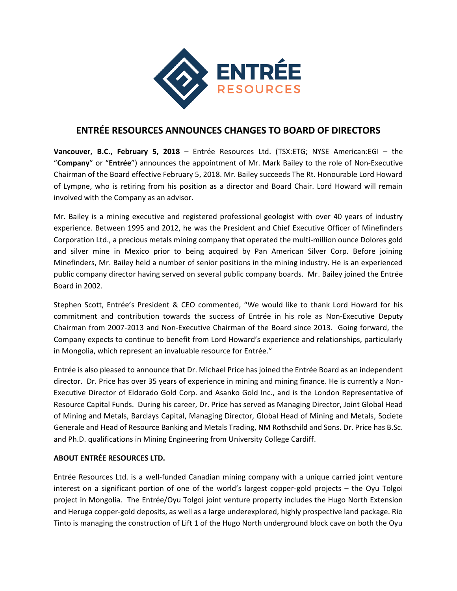

## **ENTRÉE RESOURCES ANNOUNCES CHANGES TO BOARD OF DIRECTORS**

**Vancouver, B.C., February 5, 2018** – Entrée Resources Ltd. (TSX:ETG; NYSE American:EGI – the "**Company**" or "**Entrée**") announces the appointment of Mr. Mark Bailey to the role of Non-Executive Chairman of the Board effective February 5, 2018. Mr. Bailey succeeds The Rt. Honourable Lord Howard of Lympne, who is retiring from his position as a director and Board Chair. Lord Howard will remain involved with the Company as an advisor.

Mr. Bailey is a mining executive and registered professional geologist with over 40 years of industry experience. Between 1995 and 2012, he was the President and Chief Executive Officer of Minefinders Corporation Ltd., a precious metals mining company that operated the multi-million ounce Dolores gold and silver mine in Mexico prior to being acquired by Pan American Silver Corp. Before joining Minefinders, Mr. Bailey held a number of senior positions in the mining industry. He is an experienced public company director having served on several public company boards. Mr. Bailey joined the Entrée Board in 2002.

Stephen Scott, Entrée's President & CEO commented, "We would like to thank Lord Howard for his commitment and contribution towards the success of Entrée in his role as Non-Executive Deputy Chairman from 2007-2013 and Non-Executive Chairman of the Board since 2013. Going forward, the Company expects to continue to benefit from Lord Howard's experience and relationships, particularly in Mongolia, which represent an invaluable resource for Entrée."

Entrée is also pleased to announce that Dr. Michael Price has joined the Entrée Board as an independent director. Dr. Price has over 35 years of experience in mining and mining finance. He is currently a Non-Executive Director of Eldorado Gold Corp. and Asanko Gold Inc., and is the London Representative of Resource Capital Funds. During his career, Dr. Price has served as Managing Director, Joint Global Head of Mining and Metals, Barclays Capital, Managing Director, Global Head of Mining and Metals, Societe Generale and Head of Resource Banking and Metals Trading, NM Rothschild and Sons. Dr. Price has B.Sc. and Ph.D. qualifications in Mining Engineering from University College Cardiff.

## **ABOUT ENTRÉE RESOURCES LTD.**

Entrée Resources Ltd. is a well-funded Canadian mining company with a unique carried joint venture interest on a significant portion of one of the world's largest copper-gold projects – the Oyu Tolgoi project in Mongolia. The Entrée/Oyu Tolgoi joint venture property includes the Hugo North Extension and Heruga copper-gold deposits, as well as a large underexplored, highly prospective land package. Rio Tinto is managing the construction of Lift 1 of the Hugo North underground block cave on both the Oyu